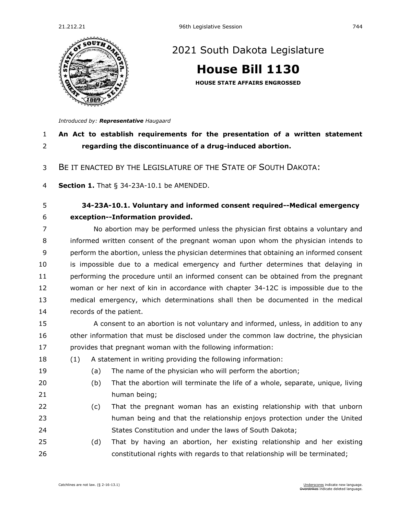

## [2021 South Dakota Legislature](https://sdlegislature.gov/Session/Bills/44)

## **[House Bill 1130](https://sdlegislature.gov/Session/Bill/21932)**

**HOUSE STATE AFFAIRS ENGROSSED**

*Introduced by: Representative [Haugaard](https://sdlegislature.gov/Legislators/Profile/1799/Detail)*

## **An Act to establish requirements for the presentation of a written statement regarding the discontinuance of a drug-induced abortion.**

BE IT ENACTED BY THE LEGISLATURE OF THE STATE OF SOUTH DAKOTA:

**Section 1.** [That § 34-23A-10.1 be AMENDED.](https://sdlegislature.gov/Statutes/Codified_Laws/DisplayStatute.aspx?Type=Statute&Statute=34-23A-10.1)

## **[34-23A-10.1. V](https://sdlegislature.gov/Statutes/Codified_Laws/DisplayStatute.aspx?Type=Statute&Statute=34-23A-10.1)oluntary and informed consent required--Medical emergency exception--Information provided.**

 No abortion may be performed unless the physician first obtains a voluntary and informed written consent of the pregnant woman upon whom the physician intends to perform the abortion, unless the physician determines that obtaining an informed consent is impossible due to a medical emergency and further determines that delaying in 11 performing the procedure until an informed consent can be obtained from the pregnant woman or her next of kin in accordance with chapter [34-12C](https://sdlegislature.gov/Statutes/Codified_Laws/DisplayStatute.aspx?Type=Statute&Statute=34-12C) is impossible due to the medical emergency, which determinations shall then be documented in the medical records of the patient.

 A consent to an abortion is not voluntary and informed, unless, in addition to any 16 other information that must be disclosed under the common law doctrine, the physician provides that pregnant woman with the following information:

- (1) A statement in writing providing the following information:
- (a) The name of the physician who will perform the abortion;
- 
- (b) That the abortion will terminate the life of a whole, separate, unique, living
- human being;
- (c) That the pregnant woman has an existing relationship with that unborn human being and that the relationship enjoys protection under the United States Constitution and under the laws of South Dakota;
- (d) That by having an abortion, her existing relationship and her existing constitutional rights with regards to that relationship will be terminated;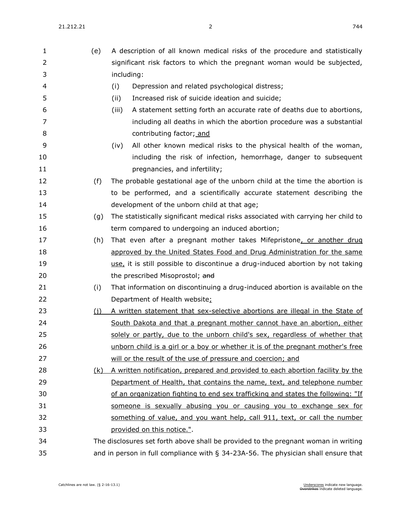| $\mathbf 1$    | (e)        | A description of all known medical risks of the procedure and statistically        |
|----------------|------------|------------------------------------------------------------------------------------|
| $\overline{2}$ |            | significant risk factors to which the pregnant woman would be subjected,           |
| 3              |            | including:                                                                         |
| 4              |            | Depression and related psychological distress;<br>(i)                              |
| 5              |            | Increased risk of suicide ideation and suicide;<br>(ii)                            |
| 6              |            | A statement setting forth an accurate rate of deaths due to abortions,<br>(iii)    |
| $\overline{7}$ |            | including all deaths in which the abortion procedure was a substantial             |
| 8              |            | contributing factor; and                                                           |
| 9              |            | All other known medical risks to the physical health of the woman,<br>(iv)         |
| 10             |            | including the risk of infection, hemorrhage, danger to subsequent                  |
| 11             |            | pregnancies, and infertility;                                                      |
| 12             | (f)        | The probable gestational age of the unborn child at the time the abortion is       |
| 13             |            | to be performed, and a scientifically accurate statement describing the            |
| 14             |            | development of the unborn child at that age;                                       |
| 15             | (g)        | The statistically significant medical risks associated with carrying her child to  |
| 16             |            | term compared to undergoing an induced abortion;                                   |
| 17             | (h)        | That even after a pregnant mother takes Mifepristone, or another drug              |
| 18             |            | approved by the United States Food and Drug Administration for the same            |
| 19             |            | use, it is still possible to discontinue a drug-induced abortion by not taking     |
| 20             |            | the prescribed Misoprostol; and                                                    |
| 21             | (i)        | That information on discontinuing a drug-induced abortion is available on the      |
| 22             |            | Department of Health website;                                                      |
| 23             | <u>(i)</u> | A written statement that sex-selective abortions are illegal in the State of       |
| 24             |            | South Dakota and that a pregnant mother cannot have an abortion, either            |
| 25             |            | solely or partly, due to the unborn child's sex, regardless of whether that        |
| 26             |            | unborn child is a girl or a boy or whether it is of the pregnant mother's free     |
| 27             |            | will or the result of the use of pressure and coercion; and                        |
| 28             |            | (k) A written notification, prepared and provided to each abortion facility by the |
| 29             |            | Department of Health, that contains the name, text, and telephone number           |
| 30             |            | of an organization fighting to end sex trafficking and states the following: "If   |
| 31             |            | someone is sexually abusing you or causing you to exchange sex for                 |
| 32             |            | something of value, and you want help, call 911, text, or call the number          |
| 33             |            | provided on this notice.".                                                         |
| 34             |            | The disclosures set forth above shall be provided to the pregnant woman in writing |
| 35             |            | and in person in full compliance with § 34-23A-56. The physician shall ensure that |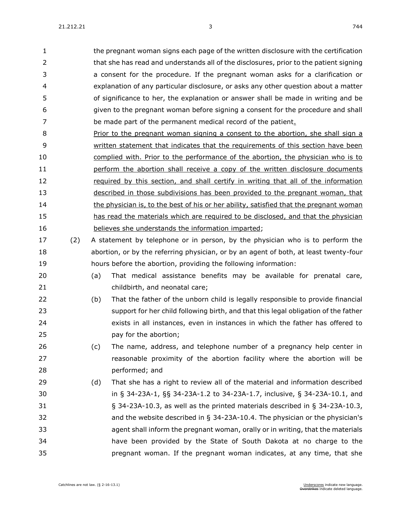21.212.21 3 744

 the pregnant woman signs each page of the written disclosure with the certification that she has read and understands all of the disclosures, prior to the patient signing a consent for the procedure. If the pregnant woman asks for a clarification or explanation of any particular disclosure, or asks any other question about a matter of significance to her, the explanation or answer shall be made in writing and be given to the pregnant woman before signing a consent for the procedure and shall be made part of the permanent medical record of the patient.

 Prior to the pregnant woman signing a consent to the abortion, she shall sign a written statement that indicates that the requirements of this section have been complied with. Prior to the performance of the abortion, the physician who is to perform the abortion shall receive a copy of the written disclosure documents required by this section, and shall certify in writing that all of the information described in those subdivisions has been provided to the pregnant woman, that 14 the physician is, to the best of his or her ability, satisfied that the pregnant woman has read the materials which are required to be disclosed, and that the physician believes she understands the information imparted;

- (2) A statement by telephone or in person, by the physician who is to perform the abortion, or by the referring physician, or by an agent of both, at least twenty-four hours before the abortion, providing the following information:
- (a) That medical assistance benefits may be available for prenatal care, childbirth, and neonatal care;
- (b) That the father of the unborn child is legally responsible to provide financial support for her child following birth, and that this legal obligation of the father exists in all instances, even in instances in which the father has offered to pay for the abortion;
- (c) The name, address, and telephone number of a pregnancy help center in **reasonable proximity of the abortion facility where the abortion will be** performed; and
- (d) That she has a right to review all of the material and information described in § [34-23A-1,](https://sdlegislature.gov/Statutes/Codified_Laws/DisplayStatute.aspx?Type=Statute&Statute=34-23A-1) §§ [34-23A-1.2](https://sdlegislature.gov/Statutes/Codified_Laws/DisplayStatute.aspx?Type=Statute&Statute=34-23A-1.2) to [34-23A-1.7,](https://sdlegislature.gov/Statutes/Codified_Laws/DisplayStatute.aspx?Type=Statute&Statute=34-23A-1.7) inclusive, § [34-23A-10.1,](https://sdlegislature.gov/Statutes/Codified_Laws/DisplayStatute.aspx?Type=Statute&Statute=34-23A-10.1) and § [34-23A-10.3,](https://sdlegislature.gov/Statutes/Codified_Laws/DisplayStatute.aspx?Type=Statute&Statute=34-23A-10.3) as well as the printed materials described in § [34-23A-10.3,](https://sdlegislature.gov/Statutes/Codified_Laws/DisplayStatute.aspx?Type=Statute&Statute=34-23A-10.3) and the website described in § [34-23A-10.4.](https://sdlegislature.gov/Statutes/Codified_Laws/DisplayStatute.aspx?Type=Statute&Statute=34-23A-10.4) The physician or the physician's agent shall inform the pregnant woman, orally or in writing, that the materials have been provided by the State of South Dakota at no charge to the pregnant woman. If the pregnant woman indicates, at any time, that she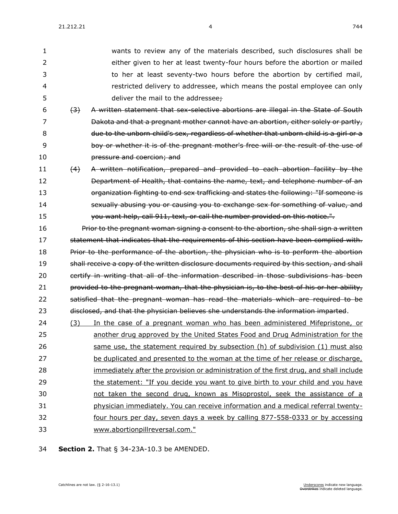21.212.21 **4** 744

 wants to review any of the materials described, such disclosures shall be either given to her at least twenty-four hours before the abortion or mailed to her at least seventy-two hours before the abortion by certified mail, restricted delivery to addressee, which means the postal employee can only 5 deliver the mail to the addressee;

- (3) A written statement that sex-selective abortions are illegal in the State of South **Dakota and that a pregnant mother cannot have an abortion, either solely or partly,** 8 due to the unborn child's sex, regardless of whether that unborn child is a girl or a boy or whether it is of the pregnant mother's free will or the result of the use of pressure and coercion; and
- (4) A written notification, prepared and provided to each abortion facility by the **Department of Health, that contains the name, text, and telephone number of an organization fighting to end sex trafficking and states the following: "If someone is** 14 sexually abusing you or causing you to exchange sex for something of value, and **you want help, call 911, text, or call the number provided on this notice.".**
- 16 Prior to the pregnant woman signing a consent to the abortion, she shall sign a written statement that indicates that the requirements of this section have been complied with. 18 Prior to the performance of the abortion, the physician who is to perform the abortion 19 shall receive a copy of the written disclosure documents required by this section, and shall 20 certify in writing that all of the information described in those subdivisions has been 21 provided to the pregnant woman, that the physician is, to the best of his or her ability, 22 satisfied that the pregnant woman has read the materials which are required to be 23 disclosed, and that the physician believes she understands the information imparted.
- (3) In the case of a pregnant woman who has been administered Mifepristone, or another drug approved by the United States Food and Drug Administration for the same use, the statement required by subsection (h) of subdivision (1) must also be duplicated and presented to the woman at the time of her release or discharge, immediately after the provision or administration of the first drug, and shall include the statement: "If you decide you want to give birth to your child and you have 30 not taken the second drug, known as Misoprostol, seek the assistance of a physician immediately. You can receive information and a medical referral twenty- four hours per day, seven days a week by calling 877-558-0333 or by accessing www.abortionpillreversal.com."

**Section 2.** [That § 34-23A-10.3 be AMENDED.](https://sdlegislature.gov/Statutes/Codified_Laws/2057120)